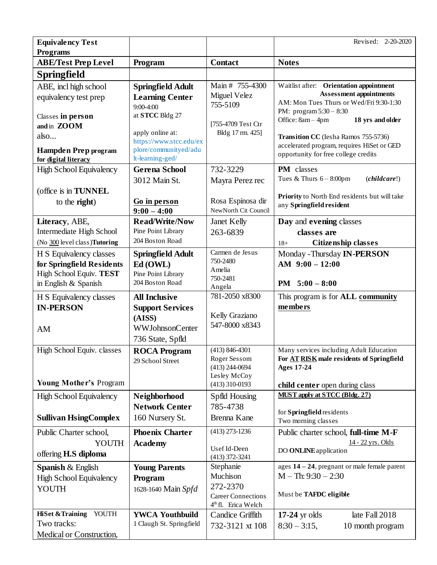| <b>Equivalency Test</b><br><b>Programs</b>                                                              |                                                                                                         |                                                                                                   | Revised: 2-20-2020                                                                                                                                                                         |
|---------------------------------------------------------------------------------------------------------|---------------------------------------------------------------------------------------------------------|---------------------------------------------------------------------------------------------------|--------------------------------------------------------------------------------------------------------------------------------------------------------------------------------------------|
| <b>ABE/Test Prep Level</b>                                                                              | Program                                                                                                 | <b>Contact</b>                                                                                    | <b>Notes</b>                                                                                                                                                                               |
| <b>Springfield</b>                                                                                      |                                                                                                         |                                                                                                   |                                                                                                                                                                                            |
| ABE, incl high school<br>equivalency test prep<br>Classes in person<br>and in ZOOM                      | <b>Springfield Adult</b><br><b>Learning Center</b><br>9:00-4:00<br>at STCC Bldg 27<br>apply online at:  | Main # 755-4300<br>Miguel Velez<br>755-5109<br>[755-4709 Test Ctr<br>Bldg 17 rm. 425]             | Waitlist after: Orientation appointment<br><b>Assessment appointments</b><br>AM: Mon Tues Thurs or Wed/Fri 9:30-1:30<br>PM: program $5:30 - 8:30$<br>Office: 8am - 4pm<br>18 yrs and older |
| also<br><b>Hampden Prep program</b><br>for digital literacy                                             | https://www.stcc.edu/ex<br>plore/communityed/adu<br>lt-learning-ged/                                    |                                                                                                   | Transition CC (Iesha Ramos 755-5736)<br>accelerated program, requires HiSet or GED<br>opportunity for free college credits                                                                 |
| <b>High School Equivalency</b><br>(office is in TUNNEL                                                  | <b>Gerena School</b><br>3012 Main St.                                                                   | 732-3229<br>Mayra Perez rec                                                                       | PM classes<br>Tues & Thurs $6 - 8:00$ pm<br>(children!)<br>Priority to North End residents but will take                                                                                   |
| to the <b>right</b> )                                                                                   | Go in person<br>$9:00 - 4:00$                                                                           | Rosa Espinosa dir<br>NewNorth Cit Council                                                         | any Springfield resident                                                                                                                                                                   |
| Literacy, ABE,<br>Intermediate High School<br>(No 300 level class)Tutoring                              | <b>Read/Write/Now</b><br>Pine Point Library<br>204 Boston Road                                          | <b>Janet Kelly</b><br>263-6839                                                                    | Day and evening classes<br>classes are<br><b>Citizenship classes</b><br>$18+$                                                                                                              |
| H S Equivalency classes<br>for Springfield Residents<br>High School Equiv. TEST<br>in English & Spanish | <b>Springfield Adult</b><br>Ed (OWL)<br>Pine Point Library<br>204 Boston Road                           | Carmen de Jesus<br>750-2480<br>Amelia<br>750-2481                                                 | Monday - Thursday IN-PERSON<br>AM $9:00 - 12:00$<br>PM $5:00 - 8:00$                                                                                                                       |
| H S Equivalency classes<br><b>IN-PERSON</b><br>AM                                                       | <b>All Inclusive</b><br><b>Support Services</b><br>(AISS)<br><b>WWJohnsonCenter</b><br>736 State, Spfld | Angela<br>781-2050 x8300<br>Kelly Graziano<br>547-8000 x8343                                      | This program is for ALL community<br>members                                                                                                                                               |
| High School Equiv. classes<br><b>Young Mother's Program</b>                                             | <b>ROCA Program</b><br>29 School Street                                                                 | $(413) 846 - 4301$<br>Roger Sessom<br>$(413)$ 244-0694<br>Lesley McCoy<br>$(413)$ 310-0193        | Many services including Adult Education<br>For AT RISK male residents of Springfield<br><b>Ages 17-24</b><br>child center open during class                                                |
| <b>High School Equivalency</b><br><b>Sullivan HsingComplex</b>                                          | Neighborhood<br><b>Network Center</b><br>160 Nursery St.                                                | Spfld Housing<br>785-4738<br>Brenna Kane                                                          | <b>MUST apply at STCC (Bldg. 27)</b><br>for Springfield residents<br>Two morning classes                                                                                                   |
| Public Charter school,<br>YOUTH<br>offering <b>H.S</b> diploma                                          | <b>Phoenix Charter</b><br><b>Academy</b>                                                                | $(413)$ 273-1236<br>Usef Id-Deen<br>$(413)$ 372-3241                                              | Public charter school, full-time M-F<br>14 - 22 yrs. Olds<br>DO <b>ONLINE</b> application                                                                                                  |
| <b>Spanish &amp; English</b><br><b>High School Equivalency</b><br>YOUTH                                 | <b>Young Parents</b><br>Program<br>1628-1640 Main Spfd                                                  | Stephanie<br>Muchison<br>272-2370<br><b>Career Connections</b><br>4 <sup>th</sup> fl. Erica Welch | ages 14 - 24, pregnant or male female parent<br>$M - Th: 9:30 - 2:30$<br>Must be TAFDC eligible                                                                                            |
| <b>HiSet &amp; Training</b><br>YOUTH<br>Two tracks:<br>Medical or Construction,                         | <b>YWCA Youthbuild</b><br>1 Claugh St. Springfield                                                      | Candice Griffith<br>732-3121 xt 108                                                               | $17-24$ yr olds<br>late Fall 2018<br>$8:30 - 3:15$ ,<br>10 month program                                                                                                                   |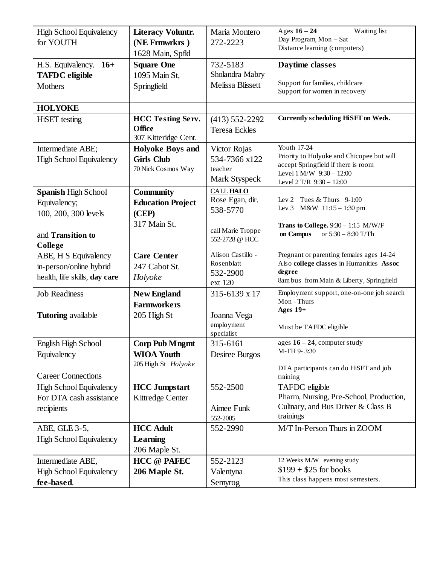| <b>High School Equivalency</b><br>for YOUTH                                                 | <b>Literacy Voluntr.</b><br>(NE Frmwrkrs)<br>1628 Main, Spfld         | Maria Montero<br>272-2223                                                              | Waiting list<br>Ages $16 - 24$<br>Day Program, Mon - Sat<br>Distance learning (computers)                                                               |
|---------------------------------------------------------------------------------------------|-----------------------------------------------------------------------|----------------------------------------------------------------------------------------|---------------------------------------------------------------------------------------------------------------------------------------------------------|
| H.S. Equivalency. 16+<br><b>TAFDC</b> eligible<br><b>Mothers</b>                            | <b>Square One</b><br>1095 Main St,<br>Springfield                     | 732-5183<br>Sholandra Mabry<br>Melissa Blissett                                        | Daytime classes<br>Support for families, childcare<br>Support for women in recovery                                                                     |
| <b>HOLYOKE</b>                                                                              |                                                                       |                                                                                        |                                                                                                                                                         |
| <b>HiSET</b> testing                                                                        | <b>HCC Testing Serv.</b><br>Office<br>307 Kitteridge Cent.            | $(413) 552 - 2292$<br><b>Teresa Eckles</b>                                             | <b>Currently scheduling HiSET on Weds.</b>                                                                                                              |
| Intermediate ABE;<br><b>High School Equivalency</b>                                         | <b>Holyoke Boys and</b><br><b>Girls Club</b><br>70 Nick Cosmos Way    | Victor Rojas<br>534-7366 x122<br>teacher<br>Mark Styspeck                              | Youth 17-24<br>Priority to Holyoke and Chicopee but will<br>accept Springfield if there is room<br>Level 1 M/W 9:30 - 12:00<br>Level 2 T/R 9:30 - 12:00 |
| <b>Spanish High School</b><br>Equivalency;<br>100, 200, 300 levels<br>and Transition to     | <b>Community</b><br><b>Education Project</b><br>(CEP)<br>317 Main St. | <b>CALL HALO</b><br>Rose Egan, dir.<br>538-5770<br>call Marie Troppe<br>552-2728 @ HCC | Lev 2 Tues $&$ Thurs 9-1:00<br>Lev 3 M&W 11:15 - 1:30 pm<br>Trans to College. $9:30 - 1:15$ M/W/F<br>on Campus<br>or 5:30 - 8:30 T/Th                   |
| College<br>ABE, H S Equivalency<br>in-person/online hybrid<br>health, life skills, day care | <b>Care Center</b><br>247 Cabot St.<br>Holyoke                        | Alison Castillo -<br>Rosenblatt<br>532-2900<br>ext 120                                 | Pregnant or parenting females ages 14-24<br>Also college classes in Humanities Assoc<br>degree<br>8am bus from Main & Liberty, Springfield              |
| <b>Job Readiness</b><br><b>Tutoring</b> available                                           | <b>New England</b><br><b>Farmworkers</b><br>205 High St               | 315-6139 x 17<br>Joanna Vega<br>employment<br>specialist                               | Employment support, one-on-one job search<br>Mon - Thurs<br>Ages $19+$<br>Must be TAFDC eligible                                                        |
| English High School<br>Equivalency<br><b>Career Connections</b>                             | <b>Corp Pub Mngmt</b><br><b>WIOA Youth</b><br>205 High St Holyoke     | 315-6161<br>Desiree Burgos                                                             | ages $16 - 24$ , computer study<br>M-TH 9-3:30<br>DTA participants can do HiSET and job<br>training                                                     |
| High School Equivalency<br>For DTA cash assistance<br>recipients                            | <b>HCC Jumpstart</b><br><b>Kittredge Center</b>                       | 552-2500<br>Aimee Funk<br>552-2005                                                     | TAFDC eligible<br>Pharm, Nursing, Pre-School, Production,<br>Culinary, and Bus Driver & Class B<br>trainings                                            |
| ABE, GLE 3-5,<br>High School Equivalency                                                    | <b>HCC Adult</b><br>Learning<br>206 Maple St.                         | 552-2990                                                                               | M/T In-Person Thurs in ZOOM                                                                                                                             |
| Intermediate ABE,<br>High School Equivalency<br>fee-based.                                  | <b>HCC</b> @ PAFEC<br>206 Maple St.                                   | 552-2123<br>Valentyna<br>Semyrog                                                       | 12 Weeks M/W evening study<br>$$199 + $25$ for books<br>This class happens most semesters.                                                              |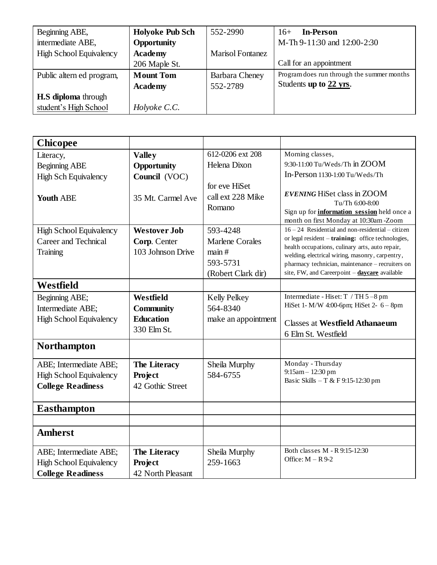| Beginning ABE,                 | <b>Holyoke Pub Sch</b> | 552-2990                | <b>In-Person</b><br>$16+$                  |
|--------------------------------|------------------------|-------------------------|--------------------------------------------|
| intermediate ABE,              | Opportunity            |                         | M-Th 9-11:30 and 12:00-2:30                |
| <b>High School Equivalency</b> | <b>Academy</b>         | <b>Marisol Fontanez</b> |                                            |
|                                | 206 Maple St.          |                         | Call for an appointment                    |
| Public altern ed program,      | <b>Mount Tom</b>       | Barbara Cheney          | Program does run through the summer months |
|                                | <b>Academy</b>         | 552-2789                | Students up to 22 yrs.                     |
| <b>H.S diploma</b> through     |                        |                         |                                            |
| student's High School          | Holyoke C.C.           |                         |                                            |

| <b>Chicopee</b>                |                     |                                              |                                                                                                                                                       |
|--------------------------------|---------------------|----------------------------------------------|-------------------------------------------------------------------------------------------------------------------------------------------------------|
| Literacy,                      | <b>Valley</b>       | 612-0206 ext 208                             | Morning classes,                                                                                                                                      |
| <b>Beginning ABE</b>           | Opportunity         | Helena Dixon                                 | 9:30-11:00 Tu/Weds/Th in ZOOM                                                                                                                         |
| <b>High Sch Equivalency</b>    | Council (VOC)       |                                              | In-Person 1130-1:00 Tu/Weds/Th                                                                                                                        |
| <b>Youth ABE</b>               | 35 Mt. Carmel Ave   | for eve HiSet<br>call ext 228 Mike<br>Romano | <b>EVENING HiSet class in ZOOM</b><br>Tu/Th 6:00-8:00<br>Sign up for <b>information</b> session held once a<br>month on first Monday at 10:30am -Zoom |
| <b>High School Equivalency</b> | <b>Westover Job</b> | 593-4248                                     | $16 - 24$ Residential and non-residential – citizen                                                                                                   |
| Career and Technical           | Corp. Center        | <b>Marlene Corales</b>                       | or legal resident - training: office technologies,                                                                                                    |
| Training                       | 103 Johnson Drive   | main#                                        | health occupations, culinary arts, auto repair,<br>welding, electrical wiring, masonry, carpentry,                                                    |
|                                |                     | 593-5731                                     | pharmacy technician, maintenance - recruiters on                                                                                                      |
|                                |                     | (Robert Clark dir)                           | site, FW, and Careerpoint - daycare available                                                                                                         |
| <b>Westfield</b>               |                     |                                              |                                                                                                                                                       |
| Beginning ABE;                 | Westfield           | <b>Kelly Pelkey</b>                          | Intermediate - Hiset: T / TH 5-8 pm                                                                                                                   |
| Intermediate ABE;              | <b>Community</b>    | 564-8340                                     | HiSet 1- M/W 4:00-6pm; HiSet 2- 6 - 8pm                                                                                                               |
| <b>High School Equivalency</b> | <b>Education</b>    | make an appointment                          | <b>Classes at Westfield Athanaeum</b>                                                                                                                 |
|                                | 330 Elm St.         |                                              | 6 Elm St. Westfield                                                                                                                                   |
| <b>Northampton</b>             |                     |                                              |                                                                                                                                                       |
| ABE; Intermediate ABE;         | The Literacy        | Sheila Murphy                                | Monday - Thursday                                                                                                                                     |
| <b>High School Equivalency</b> | <b>Project</b>      | 584-6755                                     | 9:15am - 12:30 pm                                                                                                                                     |
| <b>College Readiness</b>       | 42 Gothic Street    |                                              | Basic Skills - T & F 9:15-12:30 pm                                                                                                                    |
|                                |                     |                                              |                                                                                                                                                       |
| <b>Easthampton</b>             |                     |                                              |                                                                                                                                                       |
|                                |                     |                                              |                                                                                                                                                       |
| <b>Amherst</b>                 |                     |                                              |                                                                                                                                                       |
| ABE; Intermediate ABE;         | The Literacy        | Sheila Murphy                                | Both classes M - R 9:15-12:30                                                                                                                         |
| <b>High School Equivalency</b> | <b>Project</b>      | 259-1663                                     | Office: $M - R$ 9-2                                                                                                                                   |
| <b>College Readiness</b>       | 42 North Pleasant   |                                              |                                                                                                                                                       |